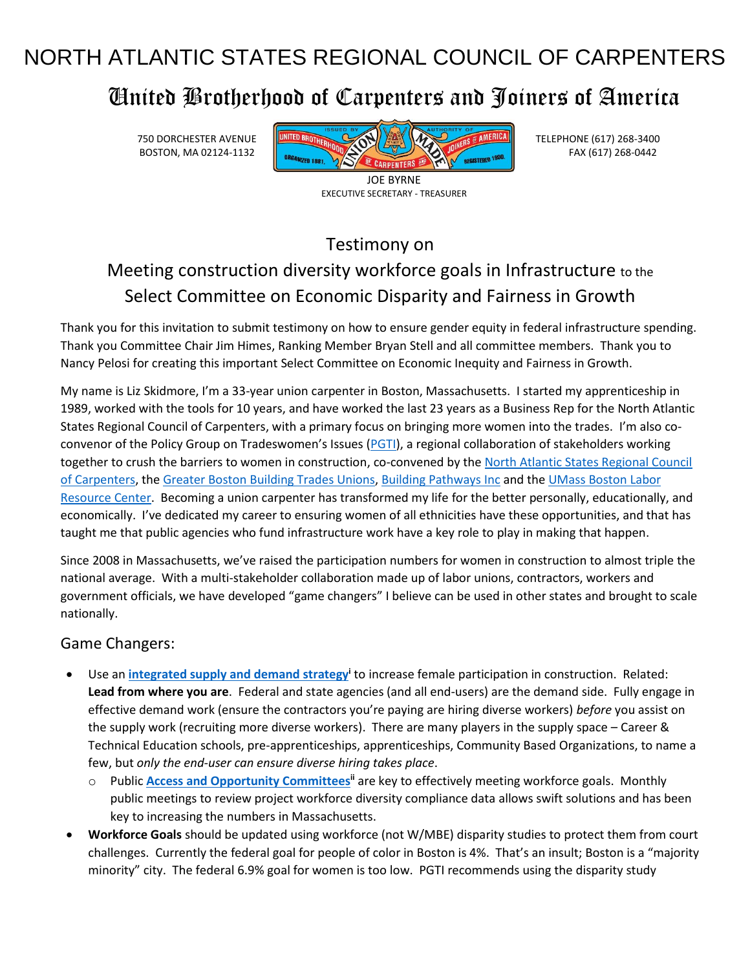# NORTH ATLANTIC STATES REGIONAL COUNCIL OF CARPENTERS

# United Brotherhood of Carpenters and Joiners of America



EXECUTIVE SECRETARY - TREASURER

Testimony on

## Meeting construction diversity workforce goals in Infrastructure to the Select Committee on Economic Disparity and Fairness in Growth

Thank you for this invitation to submit testimony on how to ensure gender equity in federal infrastructure spending. Thank you Committee Chair Jim Himes, Ranking Member Bryan Stell and all committee members. Thank you to Nancy Pelosi for creating this important Select Committee on Economic Inequity and Fairness in Growth.

My name is Liz Skidmore, I'm a 33-year union carpenter in Boston, Massachusetts. I started my apprenticeship in 1989, worked with the tools for 10 years, and have worked the last 23 years as a Business Rep for the North Atlantic States Regional Council of Carpenters, with a primary focus on bringing more women into the trades. I'm also co-convenor of the Policy Group on Tradeswomen's Issues ([PGTI\)](https://nercc-my.sharepoint.com/personal/eskidmore_nasrcc_org/Documents/Documents/Briefcase/0CWC/Political%20Action%202022/Joint%20Committee/policygropuontradeswomen.org), a regional collaboration of stakeholders working together to crush the barriers to women in construction, co-convened by th[e North Atlantic States Regional Council](https://nercc-my.sharepoint.com/personal/eskidmore_nasrcc_org/Documents/Documents/Briefcase/0CWC/Political%20Action%202022/Joint%20Committee/nasrcc.org)  [of Carpenters,](https://nercc-my.sharepoint.com/personal/eskidmore_nasrcc_org/Documents/Documents/Briefcase/0CWC/Political%20Action%202022/Joint%20Committee/nasrcc.org) the [Greater Boston](https://metrobtc.org/) Building Trades Unions[, Building Pathways Inc](https://buildingpathwaysboston.org/) and the [UMass Boston](https://www.umb.edu/lrc) Labor [Resource Center.](https://www.umb.edu/lrc) Becoming a union carpenter has transformed my life for the better personally, educationally, and economically. I've dedicated my career to ensuring women of all ethnicities have these opportunities, and that has taught me that public agencies who fund infrastructure work have a key role to play in making that happen.

Since 2008 in Massachusetts, we've raised the participation numbers for women in construction to almost triple the national average. With a multi-stakeholder collaboration made up of labor unions, contractors, workers and government officials, we have developed "game changers" I believe can be used in other states and brought to scale nationally.

#### Game Changers:

- Use an **[integrated supply and demand strategy](https://policygroupontradeswomen.org/wp-content/uploads/2020/07/The-PGTI-Model-v2-7.20.pdf)<sup>i</sup>** to increase female participation in construction. Related: **Lead from where you are**. Federal and state agencies (and all end-users) are the demand side. Fully engage in effective demand work (ensure the contractors you're paying are hiring diverse workers) *before* you assist on the supply work (recruiting more diverse workers). There are many players in the supply space – Career & Technical Education schools, pre-apprenticeships, apprenticeships, Community Based Organizations, to name a few, but *only the end-user can ensure diverse hiring takes place*.
	- o Public **[Access and Opportunity Committees](https://policygroupontradeswomen.org/wp-content/uploads/2020/07/Access-and-Opportunity-Committees.pdf)ii** are key to effectively meeting workforce goals. Monthly public meetings to review project workforce diversity compliance data allows swift solutions and has been key to increasing the numbers in Massachusetts.
- **Workforce Goals** should be updated using workforce (not W/MBE) disparity studies to protect them from court challenges. Currently the federal goal for people of color in Boston is 4%. That's an insult; Boston is a "majority minority" city. The federal 6.9% goal for women is too low. PGTI recommends using the disparity study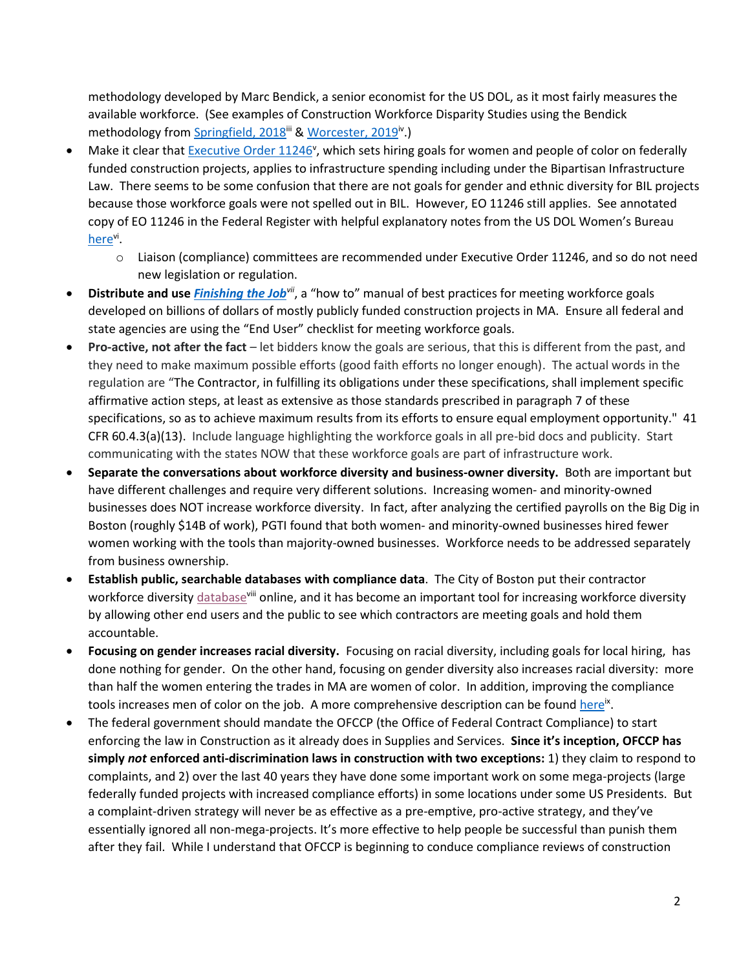methodology developed by Marc Bendick, a senior economist for the US DOL, as it most fairly measures the available workforce. (See examples of Construction Workforce Disparity Studies using the Bendick methodology from [Springfield, 2018](https://policygroupontradeswomen.org/wp-content/uploads/2019/02/springfield-disparity-study-4.18.pdf)<sup>iii</sup> & [Worcester, 2019](https://policygroupontradeswomen.org/wp-content/uploads/2020/05/worcester-workforce-disparity-study-v.-2-6.10.19.pdf)<sup>iv</sup>.)

- Make it clear tha[t Executive Order 11246](https://www.dol.gov/agencies/ofccp/executive-order-11246/as-amended)<sup>v</sup>, which sets hiring goals for women and people of color on federally funded construction projects, applies to infrastructure spending including under the Bipartisan Infrastructure Law. There seems to be some confusion that there are not goals for gender and ethnic diversity for BIL projects because those workforce goals were not spelled out in BIL. However, EO 11246 still applies. See annotated copy of EO 11246 in the Federal Register with helpful explanatory notes from the US DOL Women's Bureau [here](https://nercc-my.sharepoint.com/:b:/g/personal/eskidmore_nasrcc_org/ESY-8raOCb9Pt3ovGU3MHl4BDJA1w--ucAT97TS0VzoKcQ?e=u6Fa0e)<sup>vi</sup>.
	- o Liaison (compliance) committees are recommended under Executive Order 11246, and so do not need new legislation or regulation.
- **Distribute and use** *[Finishing the Job](https://policygroupontradeswomen.org/wp-content/uploads/2021/12/Finishing-the-Job-v.9.1-12.2.2021-1.pdf)*<sup>*vii*</sup>, a "how to" manual of best practices for meeting workforce goals developed on billions of dollars of mostly publicly funded construction projects in MA. Ensure all federal and state agencies are using the "End User" checklist for meeting workforce goals.
- **Pro-active, not after the fact** let bidders know the goals are serious, that this is different from the past, and they need to make maximum possible efforts (good faith efforts no longer enough). The actual words in the regulation are "The Contractor, in fulfilling its obligations under these specifications, shall implement specific affirmative action steps, at least as extensive as those standards prescribed in paragraph 7 of these specifications, so as to achieve maximum results from its efforts to ensure equal employment opportunity." 41 CFR 60.4.3(a)(13). Include language highlighting the workforce goals in all pre-bid docs and publicity. Start communicating with the states NOW that these workforce goals are part of infrastructure work.
- **Separate the conversations about workforce diversity and business-owner diversity.** Both are important but have different challenges and require very different solutions. Increasing women- and minority-owned businesses does NOT increase workforce diversity. In fact, after analyzing the certified payrolls on the Big Dig in Boston (roughly \$14B of work), PGTI found that both women- and minority-owned businesses hired fewer women working with the tools than majority-owned businesses. Workforce needs to be addressed separately from business ownership.
- **Establish public, searchable databases with compliance data**. The City of Boston put their contractor workforce diversit[y database](https://data.boston.gov/dataset/boston-jobs-policy-compliance-reports/resource/5ab4b4de-c970-4619-ab55-ce4338535b24?filters=Agency%3ABRA)villi online, and it has become an important tool for increasing workforce diversity by allowing other end users and the public to see which contractors are meeting goals and hold them accountable.
- **Focusing on gender increases racial diversity.** Focusing on racial diversity, including goals for local hiring, has done nothing for gender. On the other hand, focusing on gender diversity also increases racial diversity: more than half the women entering the trades in MA are women of color. In addition, improving the compliance tools increases men of color on the job. A more comprehensive description can be found <u>here</u><sup>x</sup>.
- The federal government should mandate the OFCCP (the Office of Federal Contract Compliance) to start enforcing the law in Construction as it already does in Supplies and Services. **Since it's inception, OFCCP has simply** *not* **enforced anti-discrimination laws in construction with two exceptions:** 1) they claim to respond to complaints, and 2) over the last 40 years they have done some important work on some mega-projects (large federally funded projects with increased compliance efforts) in some locations under some US Presidents. But a complaint-driven strategy will never be as effective as a pre-emptive, pro-active strategy, and they've essentially ignored all non-mega-projects. It's more effective to help people be successful than punish them after they fail. While I understand that OFCCP is beginning to conduce compliance reviews of construction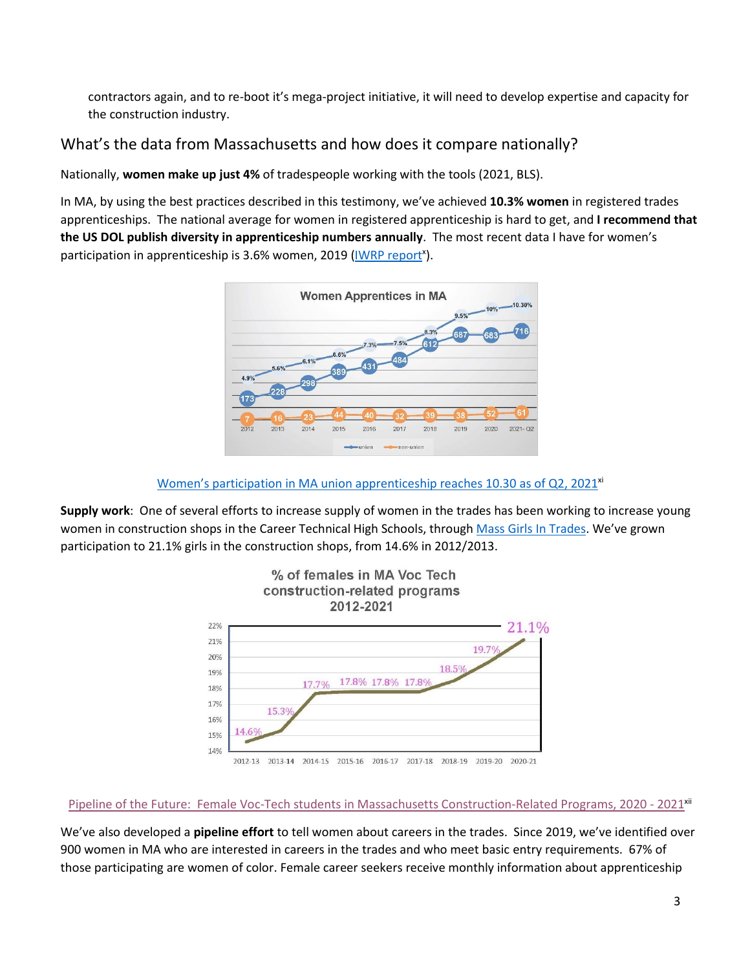contractors again, and to re-boot it's mega-project initiative, it will need to develop expertise and capacity for the construction industry.

#### What's the data from Massachusetts and how does it compare nationally?

Nationally, **women make up just 4%** of tradespeople working with the tools (2021, BLS).

In MA, by using the best practices described in this testimony, we've achieved **10.3% women** in registered trades apprenticeships. The national average for women in registered apprenticeship is hard to get, and **I recommend that the US DOL publish diversity in apprenticeship numbers annually**. The most recent data I have for women's participation in apprenticeship is 3.6% women, 2019 [\(IWRP report](https://iwpr.org/iwpr-publications/a-future-worth-building-report/)<sup>x</sup>).



Women's [participation in MA union apprenticeship reaches 10.30](https://policygroupontradeswomen.org/wp-content/uploads/2021/09/2021-Q2-Current-demographics-of-women-and-minority-participants-in-Registered-Apprenticeship-Programs-in-Massachusetts-3.pdf) as of Q2, 2021<sup>xi</sup>

**Supply work**: One of several efforts to increase supply of women in the trades has been working to increase young women in construction shops in the Career Technical High Schools, through Mass [Girls In Trades.](https://massgirlsintrades.org/) We've grown participation to 21.1% girls in the construction shops, from 14.6% in 2012/2013.



Pipeline of the Future: Female Voc-Tech students [in Massachusetts Construction-Related Programs, 2020 -](https://policygroupontradeswomen.org/wp-content/uploads/2021/09/2020-21-Data-Display.pdf) 2021<sup>xii</sup>

We've also developed a **pipeline effort** to tell women about careers in the trades. Since 2019, we've identified over 900 women in MA who are interested in careers in the trades and who meet basic entry requirements. 67% of those participating are women of color. Female career seekers receive monthly information about apprenticeship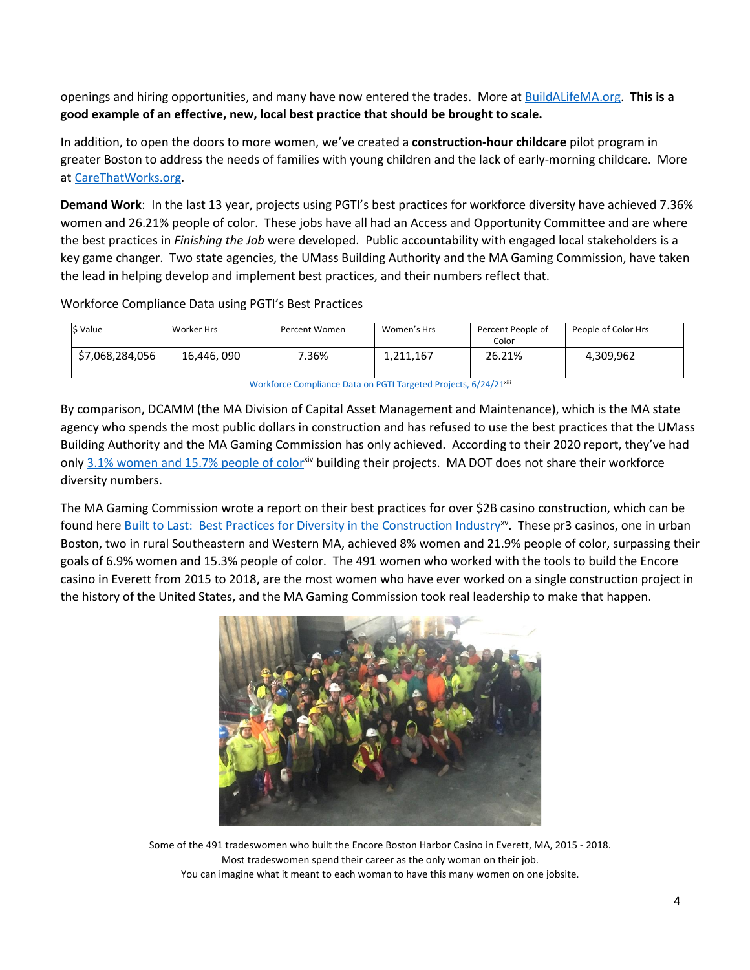openings and hiring opportunities, and many have now entered the trades. More at [BuildALifeMA.org.](https://nercc-my.sharepoint.com/personal/eskidmore_nasrcc_org/Documents/Documents/Briefcase/0CWC/Political%20Action%202022/Joint%20Committee/BuildALifeMA.org) **This is a good example of an effective, new, local best practice that should be brought to scale.**

In addition, to open the doors to more women, we've created a **construction-hour childcare** pilot program in greater Boston to address the needs of families with young children and the lack of early-morning childcare. More at [CareThatWorks.org.](https://nercc-my.sharepoint.com/personal/eskidmore_nasrcc_org/Documents/Documents/Briefcase/0CWC/Political%20Action%202022/Joint%20Committee/CareThatWorks.org)

**Demand Work**: In the last 13 year, projects using PGTI's best practices for workforce diversity have achieved 7.36% women and 26.21% people of color. These jobs have all had an Access and Opportunity Committee and are where the best practices in *Finishing the Job* were developed. Public accountability with engaged local stakeholders is a key game changer. Two state agencies, the UMass Building Authority and the MA Gaming Commission, have taken the lead in helping develop and implement best practices, and their numbers reflect that.

Workforce Compliance Data using PGTI's Best Practices

| S Value                                                                      | Worker Hrs  | Percent Women | Women's Hrs | Percent People of<br>Color | People of Color Hrs |
|------------------------------------------------------------------------------|-------------|---------------|-------------|----------------------------|---------------------|
| \$7,068,284,056                                                              | 16,446, 090 | 7.36%         | 1,211,167   | 26.21%                     | 4,309,962           |
| Workforce Compliance Data on PGTI Targeted Projects, 6/24/21 <sup>xiii</sup> |             |               |             |                            |                     |

By comparison, DCAMM (the MA Division of Capital Asset Management and Maintenance), which is the MA state agency who spends the most public dollars in construction and has refused to use the best practices that the UMass Building Authority and the MA Gaming Commission has only achieved. According to their 2020 report, they've had only [3.1% women and 15.7% people](https://www.mass.gov/doc/dcamm-supplier-diversity-amp-for-design-and-construction-annual-report-2020/download) of colorxiv building their projects. MA DOT does not share their workforce diversity numbers.

The MA Gaming Commission wrote a report on their best practices for over \$2B casino construction, which can be found here **Built to Last: Best Practices for Diversity in the Construction Industry<sup>x</sup>. These pr3 casinos, one in urban** Boston, two in rural Southeastern and Western MA, achieved 8% women and 21.9% people of color, surpassing their goals of 6.9% women and 15.3% people of color. The 491 women who worked with the tools to build the Encore casino in Everett from 2015 to 2018, are the most women who have ever worked on a single construction project in the history of the United States, and the MA Gaming Commission took real leadership to make that happen.



Some of the 491 tradeswomen who built the Encore Boston Harbor Casino in Everett, MA, 2015 - 2018. Most tradeswomen spend their career as the only woman on their job. You can imagine what it meant to each woman to have this many women on one jobsite.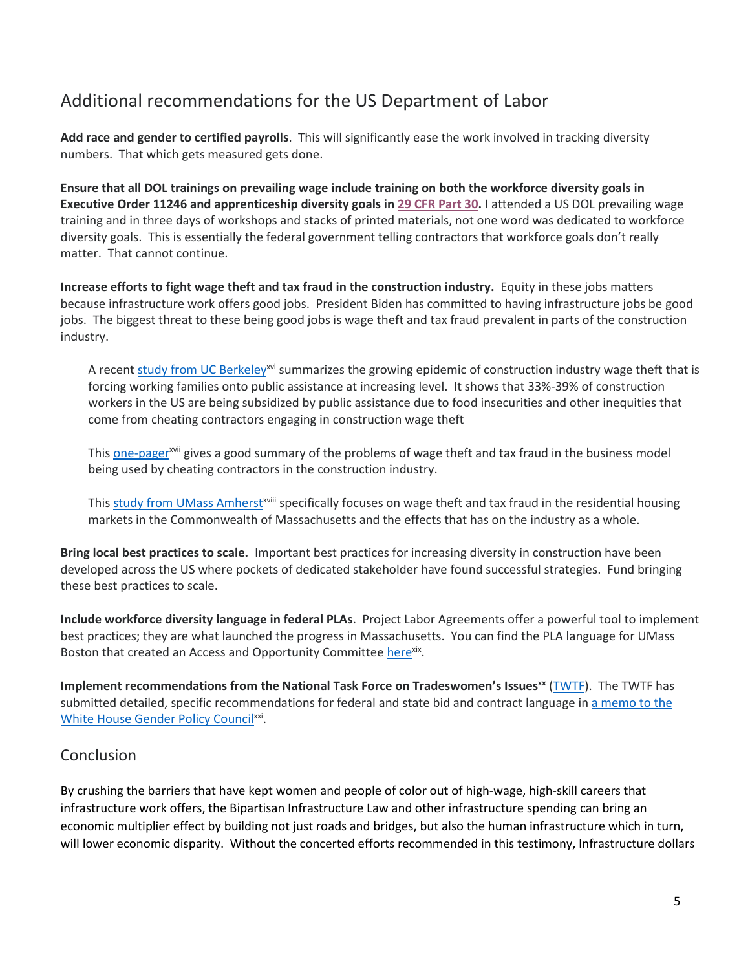### Additional recommendations for the US Department of Labor

**Add race and gender to certified payrolls**. This will significantly ease the work involved in tracking diversity numbers. That which gets measured gets done.

**Ensure that all DOL trainings on prevailing wage include training on both the workforce diversity goals in Executive Order 11246 and apprenticeship diversity goals i[n 29 CFR Part 30.](https://www.ecfr.gov/cgi-bin/text-idx?SID=a5d7b64ad0ab54e5b84990519bab6c13&mc=true&node=pt29.1.30&rgn=div5#se29.1.30_15)** I attended a US DOL prevailing wage training and in three days of workshops and stacks of printed materials, not one word was dedicated to workforce diversity goals. This is essentially the federal government telling contractors that workforce goals don't really matter. That cannot continue.

**Increase efforts to fight wage theft and tax fraud in the construction industry.** Equity in these jobs matters because infrastructure work offers good jobs. President Biden has committed to having infrastructure jobs be good jobs. The biggest threat to these being good jobs is wage theft and tax fraud prevalent in parts of the construction industry.

A recent [study from UC Berkeley](https://nercc-my.sharepoint.com/:b:/g/personal/eskidmore_nasrcc_org/EYdESp-BAAhNoFasV0BNFtEBx2AtSun9LRpoBFhtx51bjA?e=I0RTni)<sup>xvi</sup> summarizes the growing epidemic of construction industry wage theft that is forcing working families onto public assistance at increasing level. It shows that 33%-39% of construction workers in the US are being subsidized by public assistance due to food insecurities and other inequities that come from cheating contractors engaging in construction wage theft

Thi[s one-pager](https://nercc-my.sharepoint.com/:b:/g/personal/eskidmore_nasrcc_org/ESG9v5_zDu9NlTCiJRfaK8EBlLLPW_oe5ZJM1W0IEjYPiQ?e=NwBfNu)<sup>xvii</sup> gives a good summary of the problems of wage theft and tax fraud in the business model being used by cheating contractors in the construction industry.

Thi[s study from UMass Amherst](https://nercc-my.sharepoint.com/:b:/g/personal/eskidmore_nasrcc_org/EQs3emA45iJKgDwDqQKQHiMBQcITbxK1G5mXQs8nWQsMRw?e=XzFMOS)<sup>xviii</sup> specifically focuses on wage theft and tax fraud in the residential housing markets in the Commonwealth of Massachusetts and the effects that has on the industry as a whole.

**Bring local best practices to scale.** Important best practices for increasing diversity in construction have been developed across the US where pockets of dedicated stakeholder have found successful strategies. Fund bringing these best practices to scale.

**Include workforce diversity language in federal PLAs**. Project Labor Agreements offer a powerful tool to implement best practices; they are what launched the progress in Massachusetts. You can find the PLA language for UMass Boston that created an Access and Opportunity Committee [here](https://policygroupontradeswomen.org/wp-content/uploads/2021/06/MODEL-LANGUAGE-AOC.pdf)xix.

**Implement recommendations from the National Task Force on Tradeswomen's Issuesxx** [\(TWTF\)](https://tradeswomentaskforce.org/). The TWTF has submitted detailed, specific recommendations for federal and state bid and contract language in [a memo to the](https://tradeswomentaskforce.org/policy-platform) [White House Gender Policy Council](https://tradeswomentaskforce.org/policy-platform)<sup>xxi</sup>.

#### Conclusion

By crushing the barriers that have kept women and people of color out of high-wage, high-skill careers that infrastructure work offers, the Bipartisan Infrastructure Law and other infrastructure spending can bring an economic multiplier effect by building not just roads and bridges, but also the human infrastructure which in turn, will lower economic disparity. Without the concerted efforts recommended in this testimony, Infrastructure dollars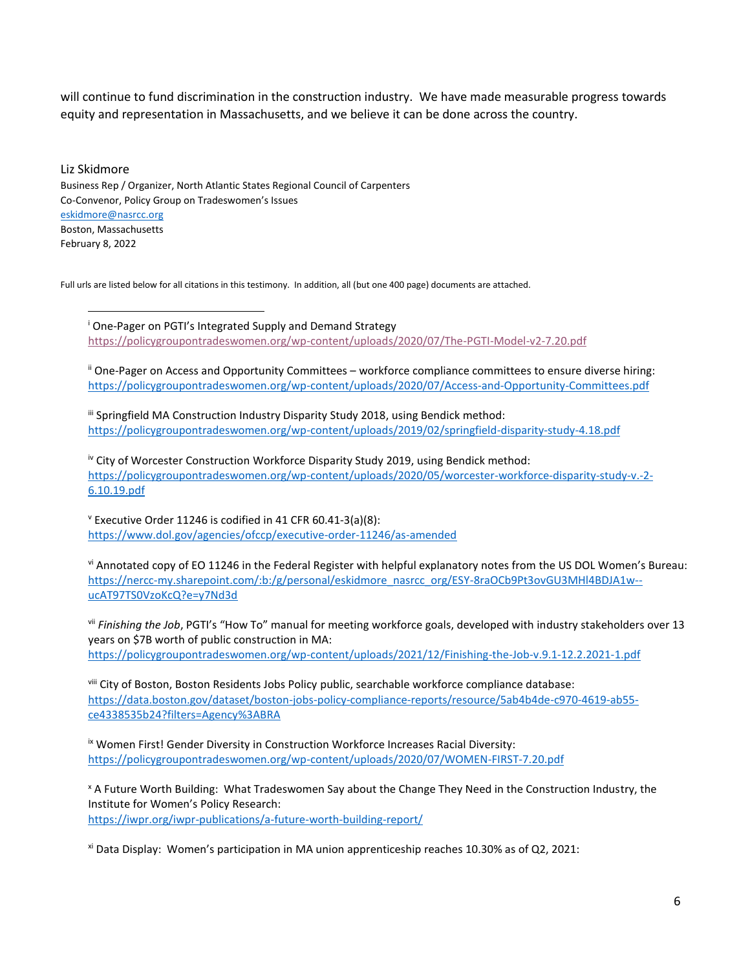will continue to fund discrimination in the construction industry. We have made measurable progress towards equity and representation in Massachusetts, and we believe it can be done across the country.

Liz Skidmore Business Rep / Organizer, North Atlantic States Regional Council of Carpenters Co-Convenor, Policy Group on Tradeswomen's Issues [eskidmore@nasrcc.org](mailto:eskidmore@nasrcc.org) Boston, Massachusetts February 8, 2022

Full urls are listed below for all citations in this testimony. In addition, all (but one 400 page) documents are attached.

<sup>i</sup> One-Pager on PGTI's Integrated Supply and Demand Strategy <https://policygroupontradeswomen.org/wp-content/uploads/2020/07/The-PGTI-Model-v2-7.20.pdf>

ii One-Pager on Access and Opportunity Committees – workforce compliance committees to ensure diverse hiring: <https://policygroupontradeswomen.org/wp-content/uploads/2020/07/Access-and-Opportunity-Committees.pdf>

iii Springfield MA Construction Industry Disparity Study 2018, using Bendick method: <https://policygroupontradeswomen.org/wp-content/uploads/2019/02/springfield-disparity-study-4.18.pdf>

iv City of Worcester Construction Workforce Disparity Study 2019, using Bendick method: [https://policygroupontradeswomen.org/wp-content/uploads/2020/05/worcester-workforce-disparity-study-v.-2-](https://policygroupontradeswomen.org/wp-content/uploads/2020/05/worcester-workforce-disparity-study-v.-2-6.10.19.pdf) [6.10.19.pdf](https://policygroupontradeswomen.org/wp-content/uploads/2020/05/worcester-workforce-disparity-study-v.-2-6.10.19.pdf)

 $v$  Executive Order 11246 is codified in 41 CFR 60.41-3(a)(8): <https://www.dol.gov/agencies/ofccp/executive-order-11246/as-amended>

vi Annotated copy of EO 11246 in the Federal Register with helpful explanatory notes from the US DOL Women's Bureau: [https://nercc-my.sharepoint.com/:b:/g/personal/eskidmore\\_nasrcc\\_org/ESY-8raOCb9Pt3ovGU3MHl4BDJA1w-](https://nercc-my.sharepoint.com/:b:/g/personal/eskidmore_nasrcc_org/ESY-8raOCb9Pt3ovGU3MHl4BDJA1w--ucAT97TS0VzoKcQ?e=y7Nd3d) [ucAT97TS0VzoKcQ?e=y7Nd3d](https://nercc-my.sharepoint.com/:b:/g/personal/eskidmore_nasrcc_org/ESY-8raOCb9Pt3ovGU3MHl4BDJA1w--ucAT97TS0VzoKcQ?e=y7Nd3d)

vii *Finishing the Job*, PGTI's "How To" manual for meeting workforce goals, developed with industry stakeholders over 13 years on \$7B worth of public construction in MA: <https://policygroupontradeswomen.org/wp-content/uploads/2021/12/Finishing-the-Job-v.9.1-12.2.2021-1.pdf>

viii City of Boston, Boston Residents Jobs Policy public, searchable workforce compliance database: [https://data.boston.gov/dataset/boston-jobs-policy-compliance-reports/resource/5ab4b4de-c970-4619-ab55](https://data.boston.gov/dataset/boston-jobs-policy-compliance-reports/resource/5ab4b4de-c970-4619-ab55-ce4338535b24?filters=Agency%3ABRA) [ce4338535b24?filters=Agency%3ABRA](https://data.boston.gov/dataset/boston-jobs-policy-compliance-reports/resource/5ab4b4de-c970-4619-ab55-ce4338535b24?filters=Agency%3ABRA)

ix Women First! Gender Diversity in Construction Workforce Increases Racial Diversity: <https://policygroupontradeswomen.org/wp-content/uploads/2020/07/WOMEN-FIRST-7.20.pdf>

<sup>x</sup> A Future Worth Building: What Tradeswomen Say about the Change They Need in the Construction Industry, the Institute for Women's Policy Research: <https://iwpr.org/iwpr-publications/a-future-worth-building-report/>

xi Data Display: Women's participation in MA union apprenticeship reaches 10.30% as of Q2, 2021: